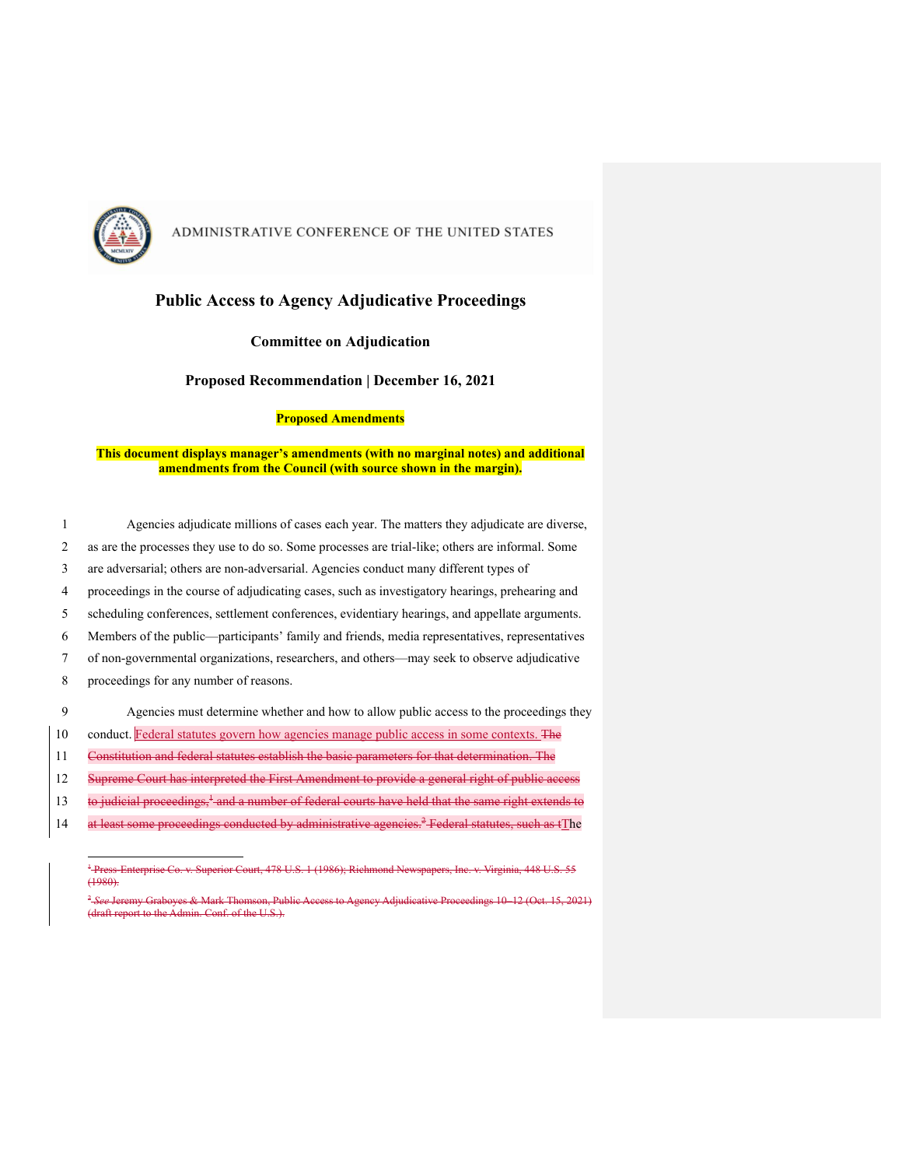

### **Public Access to Agency Adjudicative Proceedings**

#### **Committee on Adjudication**

**Proposed Recommendation | December 16, 2021**

#### **Proposed Amendments**

#### **This document displays manager's amendments (with no marginal notes) and additional amendments from the Council (with source shown in the margin).**

|                               | Agencies adjudicate millions of cases each year. The matters they adjudicate are diverse,        |
|-------------------------------|--------------------------------------------------------------------------------------------------|
| $\mathfrak{D}_{\mathfrak{p}}$ | as are the processes they use to do so. Some processes are trial-like; others are informal. Some |
| 3                             | are adversarial; others are non-adversarial. Agencies conduct many different types of            |
| 4                             | proceedings in the course of adjudicating cases, such as investigatory hearings, prehearing and  |
| 5                             | scheduling conferences, settlement conferences, evidentiary hearings, and appellate arguments.   |
| 6                             | Members of the public—participants' family and friends, media representatives, representatives   |
|                               | of non-governmental organizations, researchers, and others—may seek to observe adjudicative      |
| 8                             | proceedings for any number of reasons.                                                           |
| 9                             | Agencies must determine whether and how to allow public access to the proceedings they           |
| 10                            | conduct. Federal statutes govern how agencies manage public access in some contexts. The         |
| 11                            | Constitution and federal statutes establish the basic parameters for that determination. The     |
| 12                            | Supreme Court has interpreted the First Amendment to provide a general right of public access    |
|                               |                                                                                                  |

- $13$  to judicial proceedings,<sup> $+$ </sup> and a number of federal courts have held that the same right extends to
- 14 at least some proceedings conducted by administrative agencies.<sup>2</sup> Federal statutes, such as tThe

<sup>1</sup> Press-Enterprise Co. v. Superior Court, 478 U.S. 1 (1986); Richmond Newspapers, Inc. v. Virginia, 448 U.S. 55  $(1980)$ 

<sup>2</sup> *See* Jeremy Graboyes & Mark Thomson, Public Access to Agency Adjudicative Proceedings 10–12 (Oct. 15, 2021) (draft report to the Admin. Conf. of the U.S.).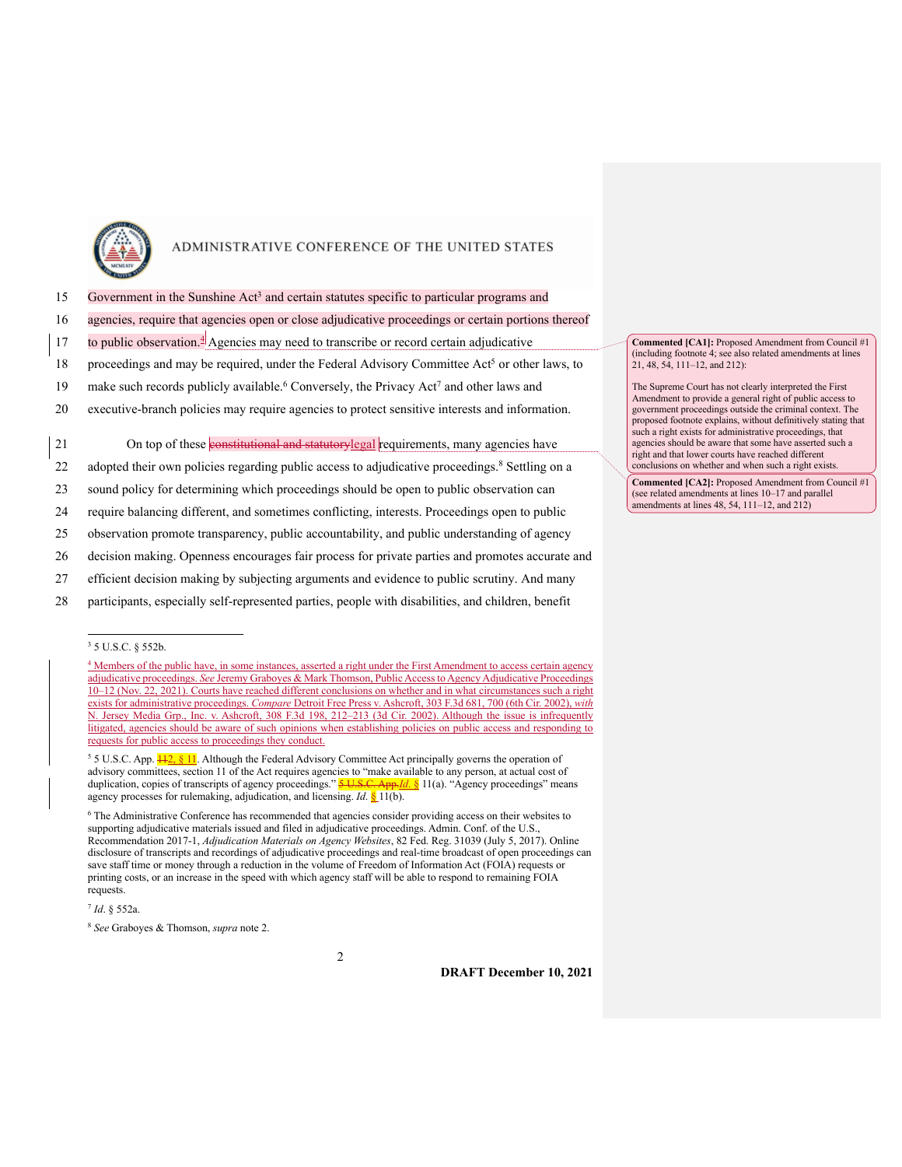

- 15 Government in the Sunshine Act<sup>3</sup> and certain statutes specific to particular programs and
- 16 agencies, require that agencies open or close adjudicative proceedings or certain portions thereof
- 17 to public observation. $4$  Agencies may need to transcribe or record certain adjudicative
- 18 proceedings and may be required, under the Federal Advisory Committee Act<sup>5</sup> or other laws, to
- 19 make such records publicly available.<sup>6</sup> Conversely, the Privacy Act<sup>7</sup> and other laws and
- 20 executive-branch policies may require agencies to protect sensitive interests and information.

21 On top of these constitutional and statutorylegal requirements, many agencies have

- 22 adopted their own policies regarding public access to adjudicative proceedings.<sup>8</sup> Settling on a
- 23 sound policy for determining which proceedings should be open to public observation can
- 24 require balancing different, and sometimes conflicting, interests. Proceedings open to public
- 25 observation promote transparency, public accountability, and public understanding of agency
- 26 decision making. Openness encourages fair process for private parties and promotes accurate and
- 27 efficient decision making by subjecting arguments and evidence to public scrutiny. And many
- 28 participants, especially self-represented parties, people with disabilities, and children, benefit

<sup>4</sup> Members of the public have, in some instances, asserted a right under the First Amendment to access certain agency adjudicative proceedings. See Jeremy Graboyes & Mark Thomson, Public Access to Agency Adjudicative Proceedings 10–12 (Nov. 22, 2021). Courts have reached different conclusions on whether and in what circumstances such a right exists for administrative proceedings. *Compare* Detroit Free Press v. Ashcroft, 303 F.3d 681, 700 (6th Cir. 2002), *with* N. Jersey Media Grp., Inc. v. Ashcroft, 308 F.3d 198, 212–213 (3d Cir. 2002). Although the issue is infrequently litigated, agencies should be aware of such opinions when establishing policies on public access and responding to requests for public access to proceedings they conduct.

<sup>5</sup> 5 U.S.C. App.  $\frac{112}{8}$ , [1]. Although the Federal Advisory Committee Act principally governs the operation of advisory committees, section 11 of the Act requires agencies to "make available to any person, at actual cost of duplication, copies of transcripts of agency proceedings." **5 U.S.C. App.***Id.* § 11(a). "Agency proceedings" means agency processes for rulemaking, adjudication, and licensing. *Id*. § 11(b).

<sup>6</sup> The Administrative Conference has recommended that agencies consider providing access on their websites to supporting adjudicative materials issued and filed in adjudicative proceedings. Admin. Conf. of the U.S., Recommendation 2017-1, *Adjudication Materials on Agency Websites*, 82 Fed. Reg. 31039 (July 5, 2017). Online disclosure of transcripts and recordings of adjudicative proceedings and real-time broadcast of open proceedings can save staff time or money through a reduction in the volume of Freedom of Information Act (FOIA) requests or printing costs, or an increase in the speed with which agency staff will be able to respond to remaining FOIA requests.

2

**DRAFT December 10, 2021**

**Commented [CA1]:** Proposed Amendment from Council #1 (including footnote 4; see also related amendments at lines 21, 48, 54, 111–12, and 212):

The Supreme Court has not clearly interpreted the First Amendment to provide a general right of public access to government proceedings outside the criminal context. The proposed footnote explains, without definitively stating that such a right exists for administrative proceedings, that agencies should be aware that some have asserted such a right and that lower courts have reached different conclusions on whether and when such a right exists.

**Commented [CA2]:** Proposed Amendment from Council #1 (see related amendments at lines 10–17 and parallel amendments at lines 48, 54, 111–12, and 212)

<sup>3</sup> 5 U.S.C. § 552b.

<sup>7</sup> *Id*. § 552a.

<sup>8</sup> *See* Graboyes & Thomson, *supra* note 2.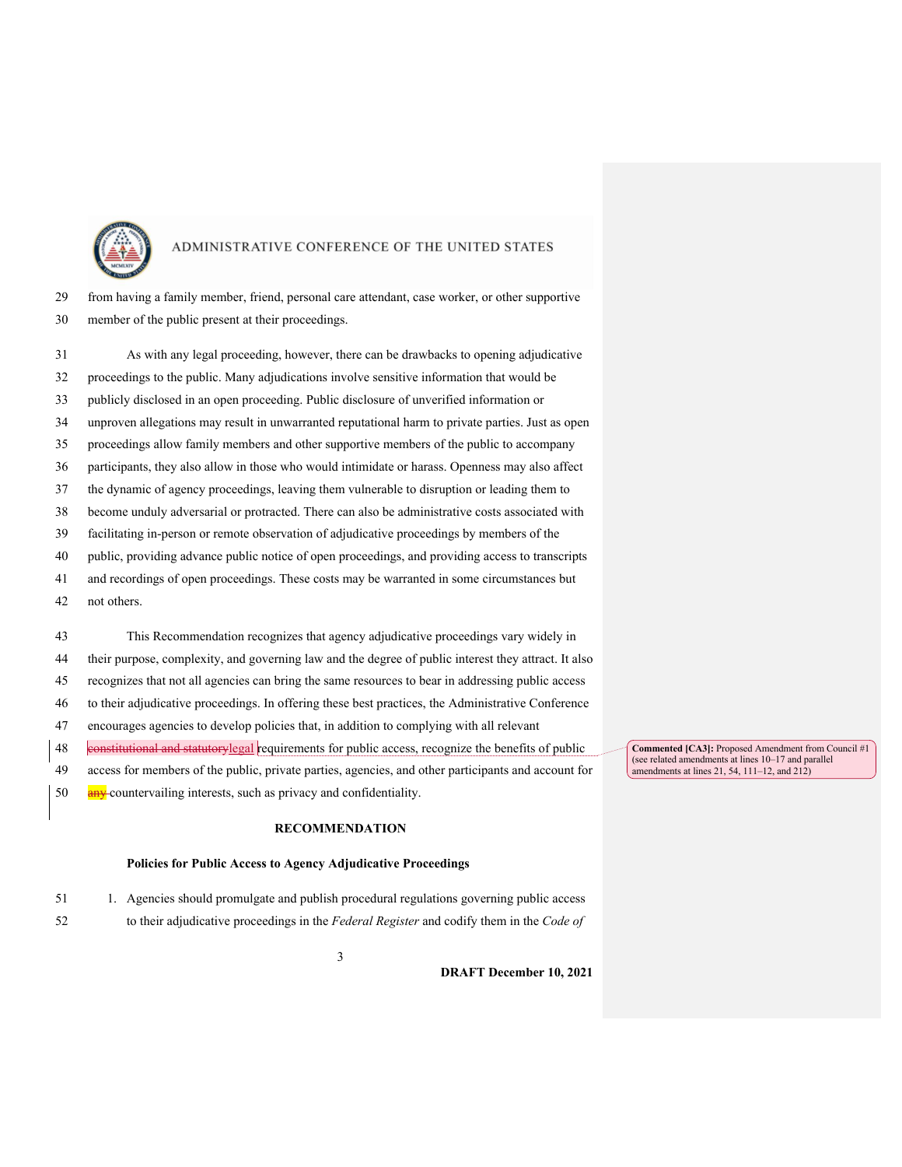

 from having a family member, friend, personal care attendant, case worker, or other supportive member of the public present at their proceedings.

 As with any legal proceeding, however, there can be drawbacks to opening adjudicative proceedings to the public. Many adjudications involve sensitive information that would be publicly disclosed in an open proceeding. Public disclosure of unverified information or unproven allegations may result in unwarranted reputational harm to private parties. Just as open proceedings allow family members and other supportive members of the public to accompany participants, they also allow in those who would intimidate or harass. Openness may also affect the dynamic of agency proceedings, leaving them vulnerable to disruption or leading them to become unduly adversarial or protracted. There can also be administrative costs associated with facilitating in-person or remote observation of adjudicative proceedings by members of the public, providing advance public notice of open proceedings, and providing access to transcripts and recordings of open proceedings. These costs may be warranted in some circumstances but not others.

 This Recommendation recognizes that agency adjudicative proceedings vary widely in their purpose, complexity, and governing law and the degree of public interest they attract. It also recognizes that not all agencies can bring the same resources to bear in addressing public access to their adjudicative proceedings. In offering these best practices, the Administrative Conference encourages agencies to develop policies that, in addition to complying with all relevant constitutional and statutorylegal requirements for public access, recognize the benefits of public access for members of the public, private parties, agencies, and other participants and account for 50 any countervailing interests, such as privacy and confidentiality.

#### **RECOMMENDATION**

#### **Policies for Public Access to Agency Adjudicative Proceedings**

1. Agencies should promulgate and publish procedural regulations governing public access

to their adjudicative proceedings in the *Federal Register* and codify them in the *Code of* 

**Commented [CA3]:** Proposed Amendment from Council #1 (see related amendments at lines 10–17 and parallel amendments at lines 21, 54,  $111-12$ , and  $212$ )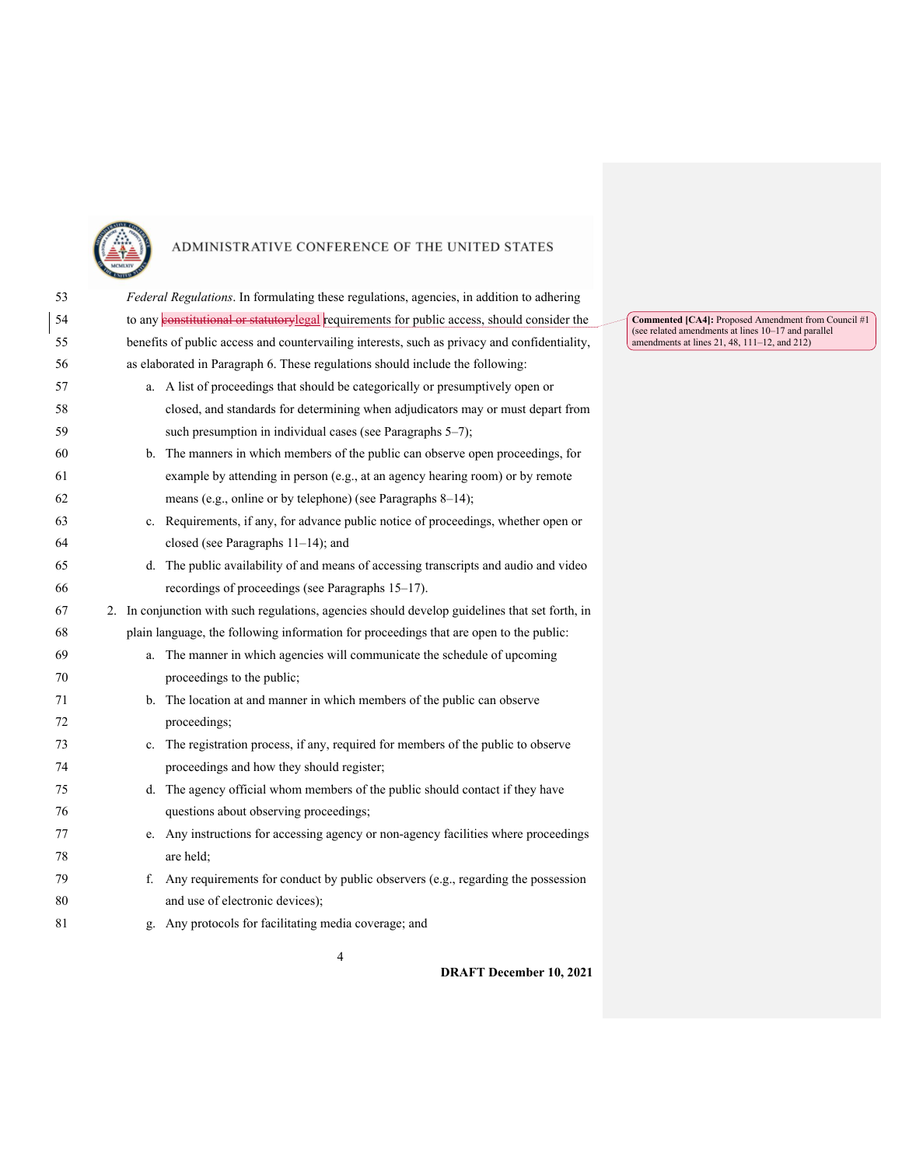

| 53 |    | Federal Regulations. In formulating these regulations, agencies, in addition to adhering           |
|----|----|----------------------------------------------------------------------------------------------------|
| 54 |    | to any <b>constitutional or statutorylegal</b> requirements for public access, should consider the |
| 55 |    | benefits of public access and countervailing interests, such as privacy and confidentiality,       |
| 56 |    | as elaborated in Paragraph 6. These regulations should include the following:                      |
| 57 |    | a. A list of proceedings that should be categorically or presumptively open or                     |
| 58 |    | closed, and standards for determining when adjudicators may or must depart from                    |
| 59 |    | such presumption in individual cases (see Paragraphs 5-7);                                         |
| 60 |    | b. The manners in which members of the public can observe open proceedings, for                    |
| 61 |    | example by attending in person (e.g., at an agency hearing room) or by remote                      |
| 62 |    | means (e.g., online or by telephone) (see Paragraphs 8-14);                                        |
| 63 |    | c. Requirements, if any, for advance public notice of proceedings, whether open or                 |
| 64 |    | closed (see Paragraphs $11-14$ ); and                                                              |
| 65 |    | d. The public availability of and means of accessing transcripts and audio and video               |
| 66 |    | recordings of proceedings (see Paragraphs 15-17).                                                  |
| 67 |    | 2. In conjunction with such regulations, agencies should develop guidelines that set forth, in     |
| 68 |    | plain language, the following information for proceedings that are open to the public:             |
| 69 | a. | The manner in which agencies will communicate the schedule of upcoming                             |
| 70 |    | proceedings to the public;                                                                         |
| 71 |    | b. The location at and manner in which members of the public can observe                           |
| 72 |    | proceedings;                                                                                       |
| 73 |    | c. The registration process, if any, required for members of the public to observe                 |
| 74 |    | proceedings and how they should register;                                                          |
| 75 |    | d. The agency official whom members of the public should contact if they have                      |
| 76 |    | questions about observing proceedings;                                                             |
| 77 |    | e. Any instructions for accessing agency or non-agency facilities where proceedings                |
| 78 |    | are held:                                                                                          |
| 79 | f. | Any requirements for conduct by public observers (e.g., regarding the possession                   |
| 80 |    | and use of electronic devices);                                                                    |
| 81 |    | g. Any protocols for facilitating media coverage; and                                              |

**Commented [CA4]:** Proposed Amendment from Council #1 (see related amendments at lines 10–17 and parallel amendments at lines 21, 48, 111–12, and 212)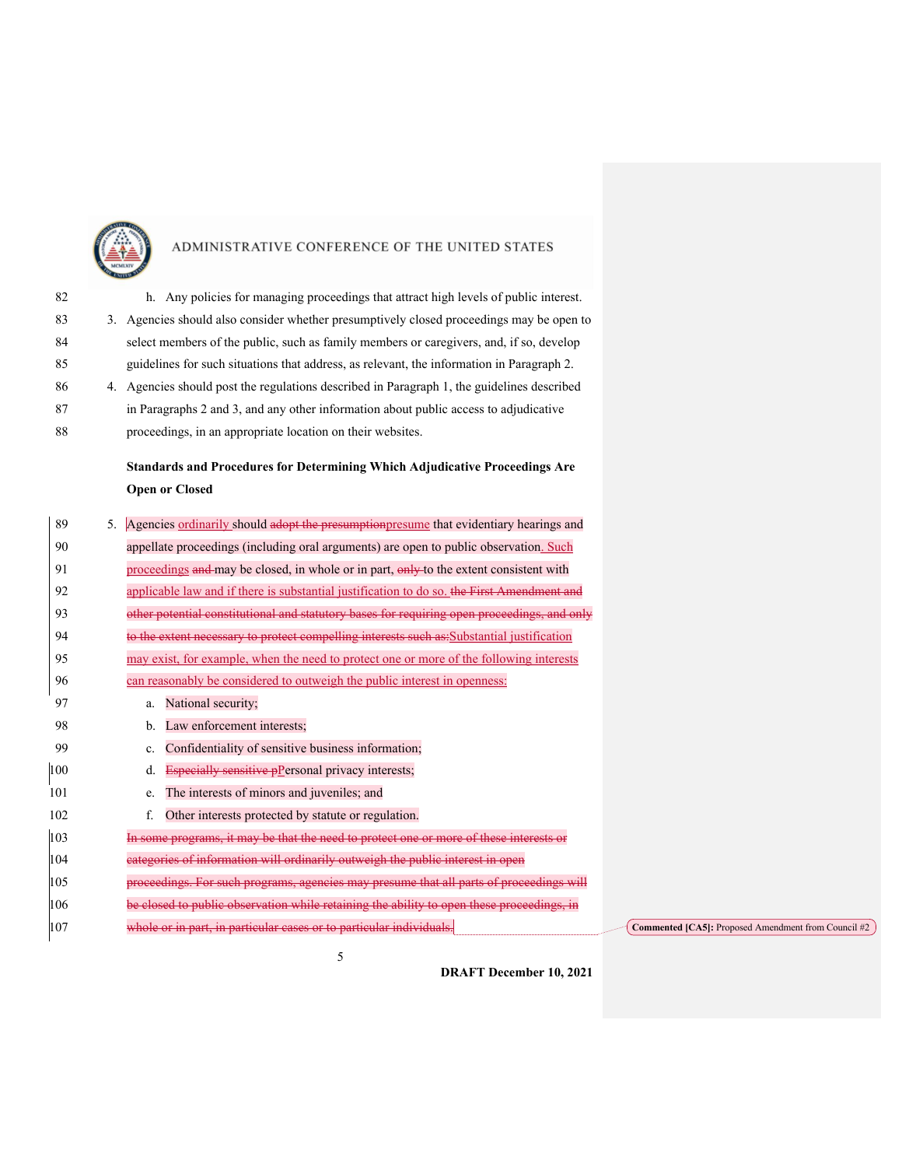

| 82 | h. Any policies for managing proceedings that attract high levels of public interest.      |
|----|--------------------------------------------------------------------------------------------|
| 83 | 3. Agencies should also consider whether presumptively closed proceedings may be open to   |
| 84 | select members of the public, such as family members or caregivers, and, if so, develop    |
| 85 | guidelines for such situations that address, as relevant, the information in Paragraph 2.  |
| 86 | 4. Agencies should post the regulations described in Paragraph 1, the guidelines described |
| 87 | in Paragraphs 2 and 3, and any other information about public access to adjudicative       |
| 88 | proceedings, in an appropriate location on their websites.                                 |

## **Standards and Procedures for Determining Which Adjudicative Proceedings Are Open or Closed**

5

| 89  | 5. | Agencies ordinarily should adopt the presumptionpresume that evidentiary hearings and       |
|-----|----|---------------------------------------------------------------------------------------------|
| 90  |    | appellate proceedings (including oral arguments) are open to public observation. Such       |
| 91  |    | proceedings and may be closed, in whole or in part, only to the extent consistent with      |
| 92  |    | applicable law and if there is substantial justification to do so. the First Amendment and  |
| 93  |    | other potential constitutional and statutory bases for requiring open proceedings, and only |
| 94  |    | to the extent necessary to protect compelling interests such as:Substantial justification   |
| 95  |    | may exist, for example, when the need to protect one or more of the following interests     |
| 96  |    | can reasonably be considered to outweigh the public interest in openness:                   |
| 97  |    | National security;<br>a.                                                                    |
| 98  |    | Law enforcement interests;<br>b.                                                            |
| 99  |    | Confidentiality of sensitive business information;<br>c.                                    |
| 100 |    | Especially sensitive $p$ Personal privacy interests;<br>d.                                  |
| 101 |    | The interests of minors and juveniles; and<br>e.                                            |
| 102 |    | Other interests protected by statute or regulation.<br>f.                                   |
| 103 |    | In some programs, it may be that the need to protect one or more of these interests or      |
| 104 |    | categories of information will ordinarily outweigh the public interest in open              |
| 105 |    | proceedings. For such programs, agencies may presume that all parts of proceedings will     |
| 106 |    | be closed to public observation while retaining the ability to open these proceedings, in   |
| 107 |    | whole or in part, in particular cases or to particular individuals.                         |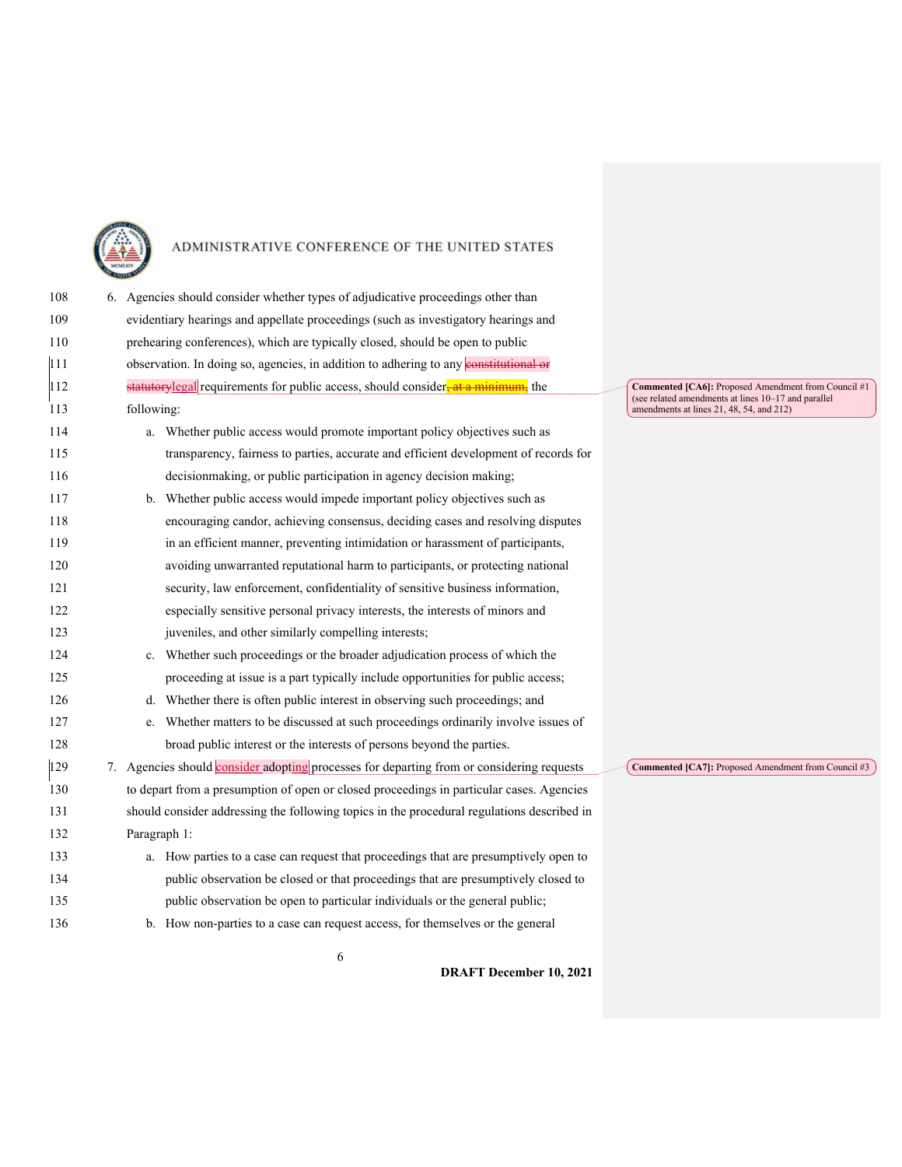

| 108 |            | 6. Agencies should consider whether types of adjudicative proceedings other than           |  |
|-----|------------|--------------------------------------------------------------------------------------------|--|
| 109 |            | evidentiary hearings and appellate proceedings (such as investigatory hearings and         |  |
| 110 |            | prehearing conferences), which are typically closed, should be open to public              |  |
| 111 |            | observation. In doing so, agencies, in addition to adhering to any constitutional or       |  |
| 112 |            | statutorylegal requirements for public access, should consider, at a minimum, the          |  |
| 113 | following: |                                                                                            |  |
| 114 |            | a. Whether public access would promote important policy objectives such as                 |  |
| 115 |            | transparency, fairness to parties, accurate and efficient development of records for       |  |
| 116 |            | decisionmaking, or public participation in agency decision making;                         |  |
| 117 |            | b. Whether public access would impede important policy objectives such as                  |  |
| 118 |            | encouraging candor, achieving consensus, deciding cases and resolving disputes             |  |
| 119 |            | in an efficient manner, preventing intimidation or harassment of participants,             |  |
| 120 |            | avoiding unwarranted reputational harm to participants, or protecting national             |  |
| 121 |            | security, law enforcement, confidentiality of sensitive business information,              |  |
| 122 |            | especially sensitive personal privacy interests, the interests of minors and               |  |
| 123 |            | juveniles, and other similarly compelling interests;                                       |  |
| 124 |            | c. Whether such proceedings or the broader adjudication process of which the               |  |
| 125 |            | proceeding at issue is a part typically include opportunities for public access;           |  |
| 126 |            | d. Whether there is often public interest in observing such proceedings; and               |  |
| 127 | e.         | Whether matters to be discussed at such proceedings ordinarily involve issues of           |  |
| 128 |            | broad public interest or the interests of persons beyond the parties.                      |  |
| 129 |            | 7. Agencies should consider adopting processes for departing from or considering requests  |  |
| 130 |            | to depart from a presumption of open or closed proceedings in particular cases. Agencies   |  |
| 131 |            | should consider addressing the following topics in the procedural regulations described in |  |
| 132 |            | Paragraph 1:                                                                               |  |
| 133 |            | a. How parties to a case can request that proceedings that are presumptively open to       |  |
| 134 |            | public observation be closed or that proceedings that are presumptively closed to          |  |
| 135 |            | public observation be open to particular individuals or the general public;                |  |
| 136 |            | b. How non-parties to a case can request access, for themselves or the general             |  |

**Commented [CA6]:** Proposed Amendment from Council #1<br>(see related amendments at lines 10–17 and parallel<br>amendments at lines 21, 48, 54, and 212)

**Commented [CA7]:** Proposed Amendment from Council #3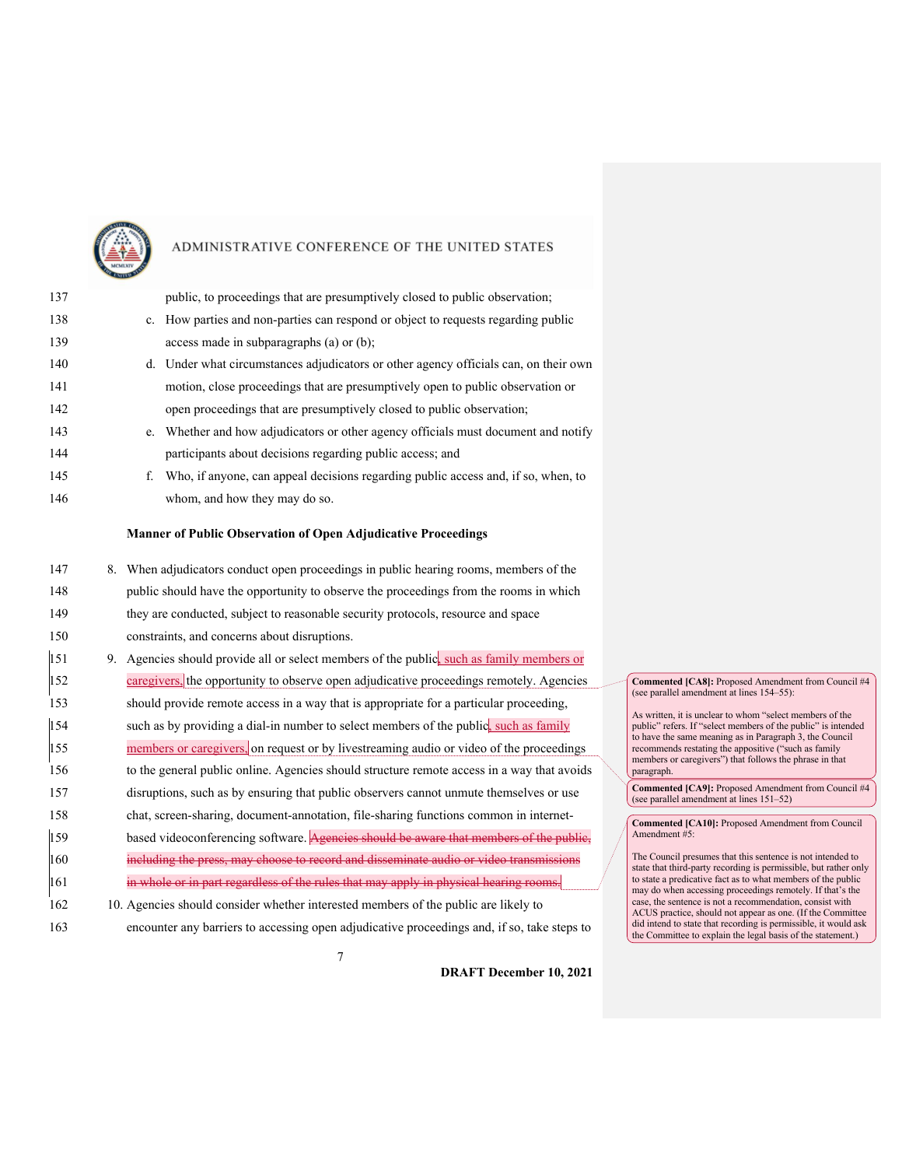

| 137 | public, to proceedings that are presumptively closed to public observation;                |
|-----|--------------------------------------------------------------------------------------------|
| 138 | c. How parties and non-parties can respond or object to requests regarding public          |
| 139 | access made in subparagraphs (a) or (b);                                                   |
| 140 | d. Under what circumstances adjudicators or other agency officials can, on their own       |
| 141 | motion, close proceedings that are presumptively open to public observation or             |
| 142 | open proceedings that are presumptively closed to public observation;                      |
| 143 | e. Whether and how adjudicators or other agency officials must document and notify         |
| 144 | participants about decisions regarding public access; and                                  |
| 145 | Who, if anyone, can appeal decisions regarding public access and, if so, when, to<br>f.    |
| 146 | whom, and how they may do so.                                                              |
|     | <b>Manner of Public Observation of Open Adjudicative Proceedings</b>                       |
|     |                                                                                            |
| 147 | 8. When adjudicators conduct open proceedings in public hearing rooms, members of the      |
| 148 | public should have the opportunity to observe the proceedings from the rooms in which      |
| 149 | they are conducted, subject to reasonable security protocols, resource and space           |
| 150 | constraints, and concerns about disruptions.                                               |
| 151 | 9. Agencies should provide all or select members of the public, such as family members or  |
| 152 | caregivers, the opportunity to observe open adjudicative proceedings remotely. Agencies    |
| 153 | should provide remote access in a way that is appropriate for a particular proceeding,     |
| 154 | such as by providing a dial-in number to select members of the public, such as family      |
| 155 | members or caregivers, on request or by livestreaming audio or video of the proceedings    |
| 156 | to the general public online. Agencies should structure remote access in a way that avoids |
| 157 | disruptions, such as by ensuring that public observers cannot unmute themselves or use     |
| 158 | chat, screen-sharing, document-annotation, file-sharing functions common in internet-      |
| 159 | based videoconferencing software. Agencies should be aware that members of the publie,     |
| 160 | including the press, may choose to record and disseminate audio or video transmissions     |
| 161 | in whole or in part regardless of the rules that may apply in physical hearing rooms.      |
| 162 | 10. Agencies should consider whether interested members of the public are likely to        |

163 encounter any barriers to accessing open adjudicative proceedings and, if so, take steps to

**DRAFT December 10, 2021**

**Commented [CA8]:** Proposed Amendment from Council #4 (see parallel amendment at lines 154–55):

As written, it is unclear to whom "select members of the public" refers. If "select members of the public" is intended to have the same meaning as in Paragraph 3, the Council recommends restating the appositive ("such as family members or caregivers") that follows the phrase in that paragraph.

**Commented [CA9]:** Proposed Amendment from Council #4 (see parallel amendment at lines 151–52)

**Commented [CA10]:** Proposed Amendment from Council Amendment #5:

The Council presumes that this sentence is not intended to state that third-party recording is permissible, but rather only to state a predicative fact as to what members of the public may do when accessing proceedings remotely. If that's the case, the sentence is not a recommendation, consist with ACUS practice, should not appear as one. (If the Committee did intend to state that recording is permissible, it would ask the Committee to explain the legal basis of the statement.)

7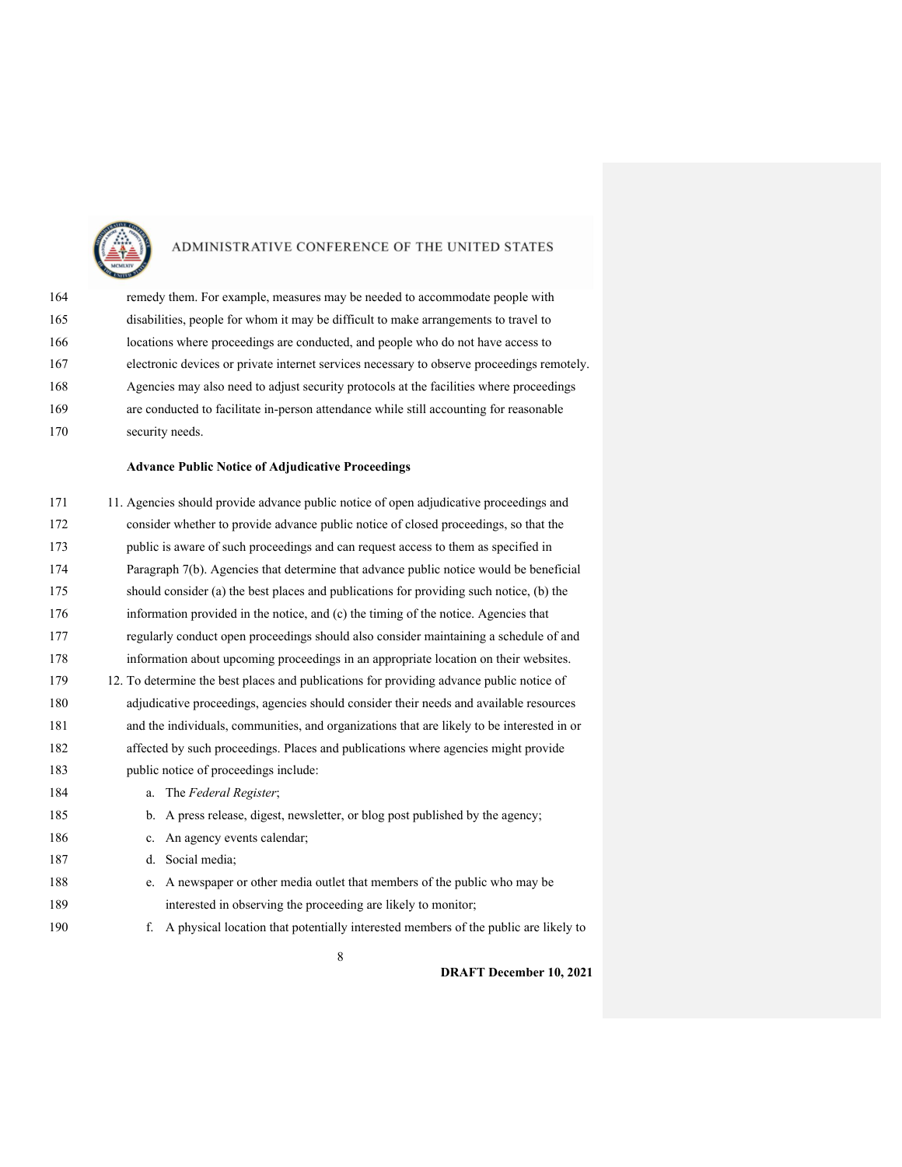

| 164 | remedy them. For example, measures may be needed to accommodate people with                |
|-----|--------------------------------------------------------------------------------------------|
| 165 | disabilities, people for whom it may be difficult to make arrangements to travel to        |
| 166 | locations where proceedings are conducted, and people who do not have access to            |
| 167 | electronic devices or private internet services necessary to observe proceedings remotely. |
| 168 | Agencies may also need to adjust security protocols at the facilities where proceedings    |
| 169 | are conducted to facilitate in-person attendance while still accounting for reasonable     |
| 170 | security needs.                                                                            |

#### **Advance Public Notice of Adjudicative Proceedings**

| 171 | 11. Agencies should provide advance public notice of open adjudicative proceedings and     |
|-----|--------------------------------------------------------------------------------------------|
| 172 | consider whether to provide advance public notice of closed proceedings, so that the       |
| 173 | public is aware of such proceedings and can request access to them as specified in         |
| 174 | Paragraph 7(b). Agencies that determine that advance public notice would be beneficial     |
| 175 | should consider (a) the best places and publications for providing such notice, (b) the    |
| 176 | information provided in the notice, and (c) the timing of the notice. Agencies that        |
| 177 | regularly conduct open proceedings should also consider maintaining a schedule of and      |
| 178 | information about upcoming proceedings in an appropriate location on their websites.       |
| 179 | 12. To determine the best places and publications for providing advance public notice of   |
| 180 | adjudicative proceedings, agencies should consider their needs and available resources     |
| 181 | and the individuals, communities, and organizations that are likely to be interested in or |
| 182 | affected by such proceedings. Places and publications where agencies might provide         |
| 183 | public notice of proceedings include:                                                      |
| 184 | a. The Federal Register;                                                                   |
| 185 | b. A press release, digest, newsletter, or blog post published by the agency;              |
| 186 | c. An agency events calendar;                                                              |
| 187 | Social media;<br>d.                                                                        |
| 188 | A newspaper or other media outlet that members of the public who may be<br>e.              |
| 189 | interested in observing the proceeding are likely to monitor;                              |
| 190 | A physical location that potentially interested members of the public are likely to<br>f.  |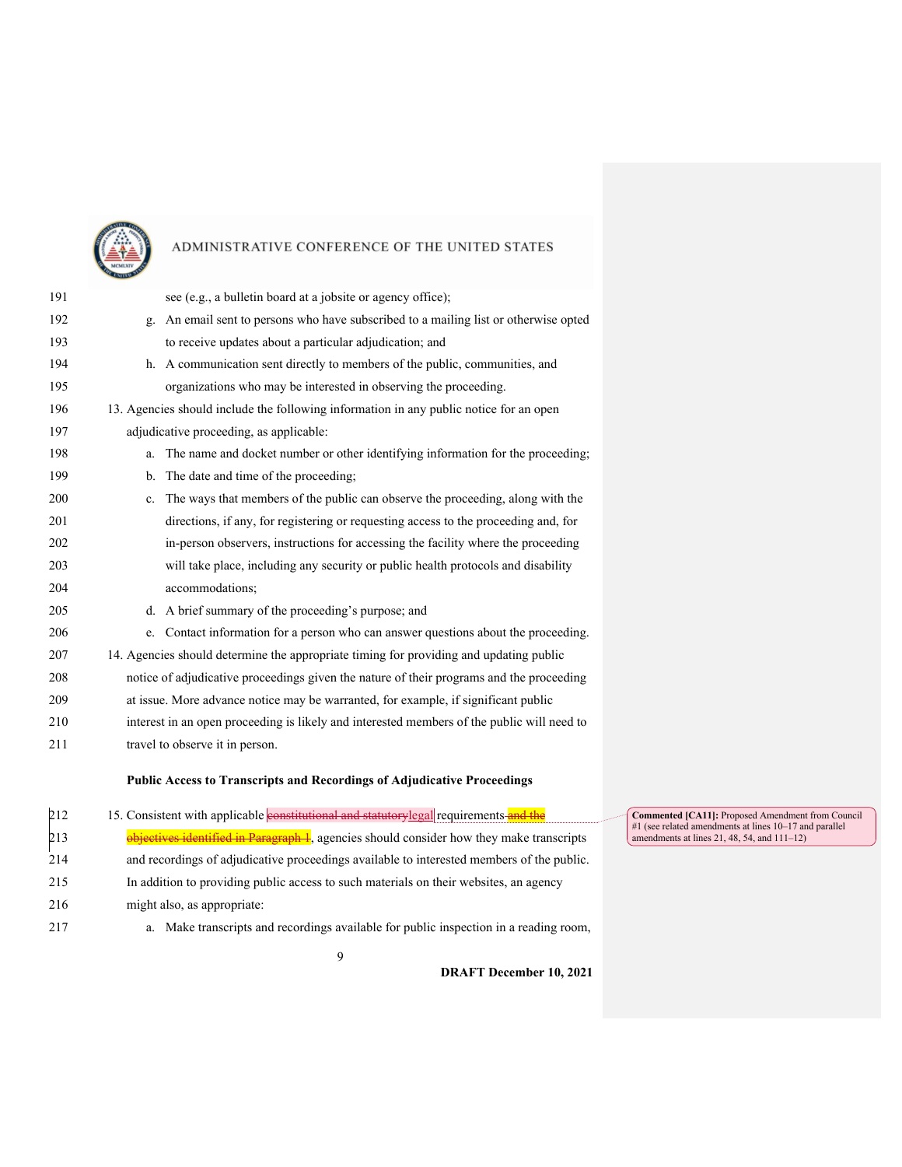

| 191 | see (e.g., a bulletin board at a jobsite or agency office);                                |
|-----|--------------------------------------------------------------------------------------------|
| 192 | g. An email sent to persons who have subscribed to a mailing list or otherwise opted       |
| 193 | to receive updates about a particular adjudication; and                                    |
| 194 | h. A communication sent directly to members of the public, communities, and                |
| 195 | organizations who may be interested in observing the proceeding.                           |
| 196 | 13. Agencies should include the following information in any public notice for an open     |
| 197 | adjudicative proceeding, as applicable:                                                    |
| 198 | The name and docket number or other identifying information for the proceeding;<br>a.      |
| 199 | b. The date and time of the proceeding;                                                    |
| 200 | c. The ways that members of the public can observe the proceeding, along with the          |
| 201 | directions, if any, for registering or requesting access to the proceeding and, for        |
| 202 | in-person observers, instructions for accessing the facility where the proceeding          |
| 203 | will take place, including any security or public health protocols and disability          |
| 204 | accommodations;                                                                            |
| 205 | d. A brief summary of the proceeding's purpose; and                                        |
| 206 | e. Contact information for a person who can answer questions about the proceeding.         |
| 207 | 14. Agencies should determine the appropriate timing for providing and updating public     |
| 208 | notice of adjudicative proceedings given the nature of their programs and the proceeding   |
| 209 | at issue. More advance notice may be warranted, for example, if significant public         |
| 210 | interest in an open proceeding is likely and interested members of the public will need to |
| 211 | travel to observe it in person.                                                            |
|     | <b>Public Access to Transcripts and Recordings of Adjudicative Proceedings</b>             |
|     |                                                                                            |
|     |                                                                                            |

| 212 | 15. Consistent with applicable <b>constitutional and statutorylegal</b> requirements and the |
|-----|----------------------------------------------------------------------------------------------|
| 213 | objectives identified in Paragraph 1, agencies should consider how they make transcripts     |
| 214 | and recordings of adjudicative proceedings available to interested members of the public.    |
| 215 | In addition to providing public access to such materials on their websites, an agency        |
| 216 | might also, as appropriate:                                                                  |
| 217 | Make transcripts and recordings available for public inspection in a reading room,<br>a.     |

**Commented [CA11]:** Proposed Amendment from Council #1 (see related amendments at lines 10–17 and parallel amendments at lines 21, 48, 54, and 111–12)